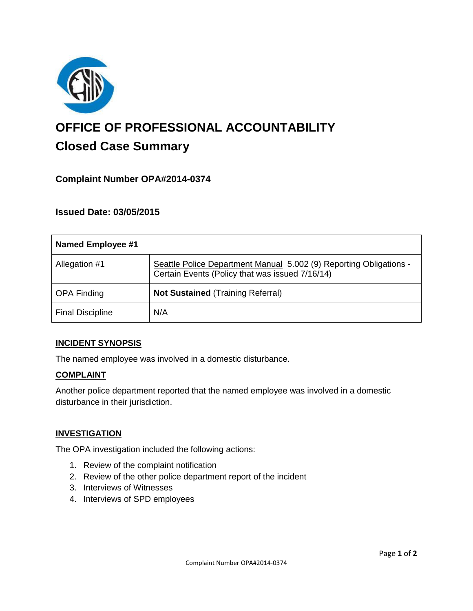

# **OFFICE OF PROFESSIONAL ACCOUNTABILITY Closed Case Summary**

# **Complaint Number OPA#2014-0374**

# **Issued Date: 03/05/2015**

| <b>Named Employee #1</b> |                                                                                                                       |
|--------------------------|-----------------------------------------------------------------------------------------------------------------------|
| Allegation #1            | Seattle Police Department Manual 5.002 (9) Reporting Obligations -<br>Certain Events (Policy that was issued 7/16/14) |
| <b>OPA Finding</b>       | <b>Not Sustained (Training Referral)</b>                                                                              |
| <b>Final Discipline</b>  | N/A                                                                                                                   |

#### **INCIDENT SYNOPSIS**

The named employee was involved in a domestic disturbance.

#### **COMPLAINT**

Another police department reported that the named employee was involved in a domestic disturbance in their jurisdiction.

#### **INVESTIGATION**

The OPA investigation included the following actions:

- 1. Review of the complaint notification
- 2. Review of the other police department report of the incident
- 3. Interviews of Witnesses
- 4. Interviews of SPD employees